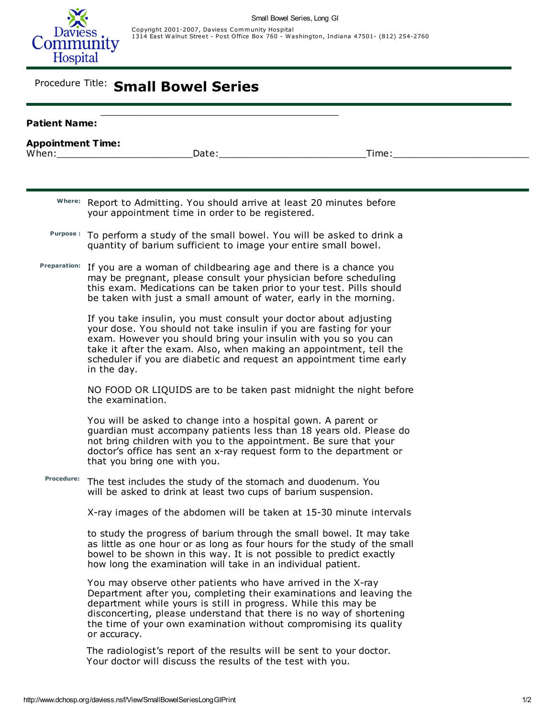

Copyright 2001-2007, Daviess Community Hospital<br>1314 East Walnut Street - Post Office Box 760 - Washington, Indiana 47501- (812) 254-2760

## Procedure Title: Small Bowel Series

| <b>Patient Name:</b>     |                                                                                                                                                                                                                                                                                                                                                                        |
|--------------------------|------------------------------------------------------------------------------------------------------------------------------------------------------------------------------------------------------------------------------------------------------------------------------------------------------------------------------------------------------------------------|
| <b>Appointment Time:</b> | Time:                                                                                                                                                                                                                                                                                                                                                                  |
|                          |                                                                                                                                                                                                                                                                                                                                                                        |
|                          | Where: Report to Admitting. You should arrive at least 20 minutes before<br>your appointment time in order to be registered.                                                                                                                                                                                                                                           |
|                          | Purpose: To perform a study of the small bowel. You will be asked to drink a<br>quantity of barium sufficient to image your entire small bowel.                                                                                                                                                                                                                        |
|                          | Preparation: If you are a woman of childbearing age and there is a chance you<br>may be pregnant, please consult your physician before scheduling<br>this exam. Medications can be taken prior to your test. Pills should<br>be taken with just a small amount of water, early in the morning.                                                                         |
|                          | If you take insulin, you must consult your doctor about adjusting<br>your dose. You should not take insulin if you are fasting for your<br>exam. However you should bring your insulin with you so you can<br>take it after the exam. Also, when making an appointment, tell the<br>scheduler if you are diabetic and request an appointment time early<br>in the day. |
|                          | NO FOOD OR LIQUIDS are to be taken past midnight the night before<br>the examination.                                                                                                                                                                                                                                                                                  |
|                          | You will be asked to change into a hospital gown. A parent or<br>guardian must accompany patients less than 18 years old. Please do<br>not bring children with you to the appointment. Be sure that your<br>doctor's office has sent an x-ray request form to the department or<br>that you bring one with you.                                                        |
| <b>Procedure:</b>        | The test includes the study of the stomach and duodenum. You<br>will be asked to drink at least two cups of barium suspension.                                                                                                                                                                                                                                         |
|                          | X-ray images of the abdomen will be taken at 15-30 minute intervals                                                                                                                                                                                                                                                                                                    |
|                          | to study the progress of barium through the small bowel. It may take<br>as little as one hour or as long as four hours for the study of the small<br>bowel to be shown in this way. It is not possible to predict exactly<br>how long the examination will take in an individual patient.                                                                              |
|                          | You may observe other patients who have arrived in the X-ray<br>Department after you, completing their examinations and leaving the<br>department while yours is still in progress. While this may be<br>disconcerting, please understand that there is no way of shortening<br>the time of your own examination without compromising its quality<br>or accuracy.      |

The radiologist's report of the results will be sent to your doctor. Your doctor will discuss the results of the test with you.